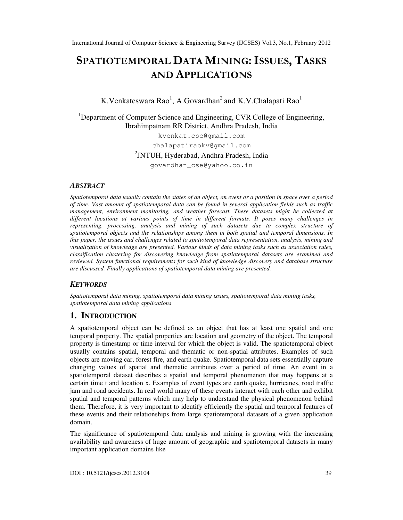# SPATIOTEMPORAL DATA MINING: ISSUES, TASKS AND APPLICATIONS

# K.Venkateswara Rao<sup>1</sup>, A.Govardhan<sup>2</sup> and K.V.Chalapati Rao<sup>1</sup>

<sup>1</sup>Department of Computer Science and Engineering, CVR College of Engineering, Ibrahimpatnam RR District, Andhra Pradesh, India

> kvenkat.cse@gmail.com chalapatiraokv@gmail.com

2 JNTUH, Hyderabad, Andhra Pradesh, India

govardhan\_cse@yahoo.co.in

#### *ABSTRACT*

*Spatiotemporal data usually contain the states of an object, an event or a position in space over a period of time. Vast amount of spatiotemporal data can be found in several application fields such as traffic management, environment monitoring, and weather forecast. These datasets might be collected at different locations at various points of time in different formats. It poses many challenges in representing, processing, analysis and mining of such datasets due to complex structure of spatiotemporal objects and the relationships among them in both spatial and temporal dimensions. In this paper, the issues and challenges related to spatiotemporal data representation, analysis, mining and visualization of knowledge are presented. Various kinds of data mining tasks such as association rules, classification clustering for discovering knowledge from spatiotemporal datasets are examined and reviewed. System functional requirements for such kind of knowledge discovery and database structure are discussed. Finally applications of spatiotemporal data mining are presented.* 

#### *KEYWORDS*

*Spatiotemporal data mining, spatiotemporal data mining issues, spatiotemporal data mining tasks, spatiotemporal data mining applications* 

#### **1. INTRODUCTION**

A spatiotemporal object can be defined as an object that has at least one spatial and one temporal property. The spatial properties are location and geometry of the object. The temporal property is timestamp or time interval for which the object is valid. The spatiotemporal object usually contains spatial, temporal and thematic or non-spatial attributes. Examples of such objects are moving car, forest fire, and earth quake. Spatiotemporal data sets essentially capture changing values of spatial and thematic attributes over a period of time. An event in a spatiotemporal dataset describes a spatial and temporal phenomenon that may happens at a certain time t and location x. Examples of event types are earth quake, hurricanes, road traffic jam and road accidents. In real world many of these events interact with each other and exhibit spatial and temporal patterns which may help to understand the physical phenomenon behind them. Therefore, it is very important to identify efficiently the spatial and temporal features of these events and their relationships from large spatiotemporal datasets of a given application domain.

The significance of spatiotemporal data analysis and mining is growing with the increasing availability and awareness of huge amount of geographic and spatiotemporal datasets in many important application domains like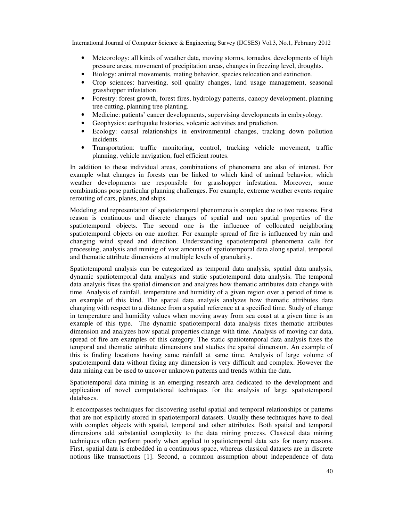- Meteorology: all kinds of weather data, moving storms, tornados, developments of high pressure areas, movement of precipitation areas, changes in freezing level, droughts.
- Biology: animal movements, mating behavior, species relocation and extinction.
- Crop sciences: harvesting, soil quality changes, land usage management, seasonal grasshopper infestation.
- Forestry: forest growth, forest fires, hydrology patterns, canopy development, planning tree cutting, planning tree planting.
- Medicine: patients' cancer developments, supervising developments in embryology.
- Geophysics: earthquake histories, volcanic activities and prediction.
- Ecology: causal relationships in environmental changes, tracking down pollution incidents.
- Transportation: traffic monitoring, control, tracking vehicle movement, traffic planning, vehicle navigation, fuel efficient routes.

In addition to these individual areas, combinations of phenomena are also of interest. For example what changes in forests can be linked to which kind of animal behavior, which weather developments are responsible for grasshopper infestation. Moreover, some combinations pose particular planning challenges. For example, extreme weather events require rerouting of cars, planes, and ships.

Modeling and representation of spatiotemporal phenomena is complex due to two reasons. First reason is continuous and discrete changes of spatial and non spatial properties of the spatiotemporal objects. The second one is the influence of collocated neighboring spatiotemporal objects on one another. For example spread of fire is influenced by rain and changing wind speed and direction. Understanding spatiotemporal phenomena calls for processing, analysis and mining of vast amounts of spatiotemporal data along spatial, temporal and thematic attribute dimensions at multiple levels of granularity.

Spatiotemporal analysis can be categorized as temporal data analysis, spatial data analysis, dynamic spatiotemporal data analysis and static spatiotemporal data analysis. The temporal data analysis fixes the spatial dimension and analyzes how thematic attributes data change with time. Analysis of rainfall, temperature and humidity of a given region over a period of time is an example of this kind. The spatial data analysis analyzes how thematic attributes data changing with respect to a distance from a spatial reference at a specified time. Study of change in temperature and humidity values when moving away from sea coast at a given time is an example of this type. The dynamic spatiotemporal data analysis fixes thematic attributes dimension and analyzes how spatial properties change with time. Analysis of moving car data, spread of fire are examples of this category. The static spatiotemporal data analysis fixes the temporal and thematic attribute dimensions and studies the spatial dimension. An example of this is finding locations having same rainfall at same time. Analysis of large volume of spatiotemporal data without fixing any dimension is very difficult and complex. However the data mining can be used to uncover unknown patterns and trends within the data.

Spatiotemporal data mining is an emerging research area dedicated to the development and application of novel computational techniques for the analysis of large spatiotemporal databases.

It encompasses techniques for discovering useful spatial and temporal relationships or patterns that are not explicitly stored in spatiotemporal datasets. Usually these techniques have to deal with complex objects with spatial, temporal and other attributes. Both spatial and temporal dimensions add substantial complexity to the data mining process. Classical data mining techniques often perform poorly when applied to spatiotemporal data sets for many reasons. First, spatial data is embedded in a continuous space, whereas classical datasets are in discrete notions like transactions [1]. Second, a common assumption about independence of data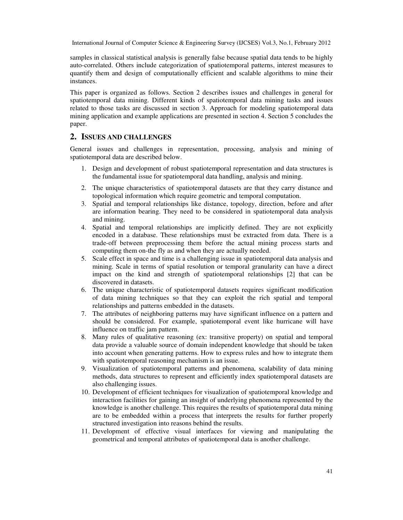samples in classical statistical analysis is generally false because spatial data tends to be highly auto-correlated. Others include categorization of spatiotemporal patterns, interest measures to quantify them and design of computationally efficient and scalable algorithms to mine their instances.

This paper is organized as follows. Section 2 describes issues and challenges in general for spatiotemporal data mining. Different kinds of spatiotemporal data mining tasks and issues related to those tasks are discussed in section 3. Approach for modeling spatiotemporal data mining application and example applications are presented in section 4. Section 5 concludes the paper.

## **2. ISSUES AND CHALLENGES**

General issues and challenges in representation, processing, analysis and mining of spatiotemporal data are described below.

- 1. Design and development of robust spatiotemporal representation and data structures is the fundamental issue for spatiotemporal data handling, analysis and mining.
- 2. The unique characteristics of spatiotemporal datasets are that they carry distance and topological information which require geometric and temporal computation.
- 3. Spatial and temporal relationships like distance, topology, direction, before and after are information bearing. They need to be considered in spatiotemporal data analysis and mining.
- 4. Spatial and temporal relationships are implicitly defined. They are not explicitly encoded in a database. These relationships must be extracted from data. There is a trade-off between preprocessing them before the actual mining process starts and computing them on-the fly as and when they are actually needed.
- 5. Scale effect in space and time is a challenging issue in spatiotemporal data analysis and mining. Scale in terms of spatial resolution or temporal granularity can have a direct impact on the kind and strength of spatiotemporal relationships [2] that can be discovered in datasets.
- 6. The unique characteristic of spatiotemporal datasets requires significant modification of data mining techniques so that they can exploit the rich spatial and temporal relationships and patterns embedded in the datasets.
- 7. The attributes of neighboring patterns may have significant influence on a pattern and should be considered. For example, spatiotemporal event like hurricane will have influence on traffic jam pattern.
- 8. Many rules of qualitative reasoning (ex: transitive property) on spatial and temporal data provide a valuable source of domain independent knowledge that should be taken into account when generating patterns. How to express rules and how to integrate them with spatiotemporal reasoning mechanism is an issue.
- 9. Visualization of spatiotemporal patterns and phenomena, scalability of data mining methods, data structures to represent and efficiently index spatiotemporal datasets are also challenging issues.
- 10. Development of efficient techniques for visualization of spatiotemporal knowledge and interaction facilities for gaining an insight of underlying phenomena represented by the knowledge is another challenge. This requires the results of spatiotemporal data mining are to be embedded within a process that interprets the results for further properly structured investigation into reasons behind the results.
- 11. Development of effective visual interfaces for viewing and manipulating the geometrical and temporal attributes of spatiotemporal data is another challenge.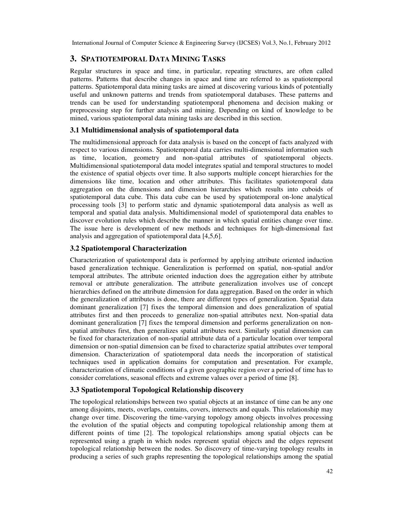## **3. SPATIOTEMPORAL DATA MINING TASKS**

Regular structures in space and time, in particular, repeating structures, are often called patterns. Patterns that describe changes in space and time are referred to as spatiotemporal patterns. Spatiotemporal data mining tasks are aimed at discovering various kinds of potentially useful and unknown patterns and trends from spatiotemporal databases. These patterns and trends can be used for understanding spatiotemporal phenomena and decision making or preprocessing step for further analysis and mining. Depending on kind of knowledge to be mined, various spatiotemporal data mining tasks are described in this section.

#### **3.1 Multidimensional analysis of spatiotemporal data**

The multidimensional approach for data analysis is based on the concept of facts analyzed with respect to various dimensions. Spatiotemporal data carries multi-dimensional information such as time, location, geometry and non-spatial attributes of spatiotemporal objects. Multidimensional spatiotemporal data model integrates spatial and temporal structures to model the existence of spatial objects over time. It also supports multiple concept hierarchies for the dimensions like time, location and other attributes. This facilitates spatiotemporal data aggregation on the dimensions and dimension hierarchies which results into cuboids of spatiotemporal data cube. This data cube can be used by spatiotemporal on-lone analytical processing tools [3] to perform static and dynamic spatiotemporal data analysis as well as temporal and spatial data analysis. Multidimensional model of spatiotemporal data enables to discover evolution rules which describe the manner in which spatial entities change over time. The issue here is development of new methods and techniques for high-dimensional fast analysis and aggregation of spatiotemporal data [4,5,6].

#### **3.2 Spatiotemporal Characterization**

Characterization of spatiotemporal data is performed by applying attribute oriented induction based generalization technique. Generalization is performed on spatial, non-spatial and/or temporal attributes. The attribute oriented induction does the aggregation either by attribute removal or attribute generalization. The attribute generalization involves use of concept hierarchies defined on the attribute dimension for data aggregation. Based on the order in which the generalization of attributes is done, there are different types of generalization. Spatial data dominant generalization [7] fixes the temporal dimension and does generalization of spatial attributes first and then proceeds to generalize non-spatial attributes next. Non-spatial data dominant generalization [7] fixes the temporal dimension and performs generalization on nonspatial attributes first, then generalizes spatial attributes next. Similarly spatial dimension can be fixed for characterization of non-spatial attribute data of a particular location over temporal dimension or non-spatial dimension can be fixed to characterize spatial attributes over temporal dimension. Characterization of spatiotemporal data needs the incorporation of statistical techniques used in application domains for computation and presentation. For example, characterization of climatic conditions of a given geographic region over a period of time has to consider correlations, seasonal effects and extreme values over a period of time [8].

## **3.3 Spatiotemporal Topological Relationship discovery**

The topological relationships between two spatial objects at an instance of time can be any one among disjoints, meets, overlaps, contains, covers, intersects and equals. This relationship may change over time. Discovering the time-varying topology among objects involves processing the evolution of the spatial objects and computing topological relationship among them at different points of time [2]. The topological relationships among spatial objects can be represented using a graph in which nodes represent spatial objects and the edges represent topological relationship between the nodes. So discovery of time-varying topology results in producing a series of such graphs representing the topological relationships among the spatial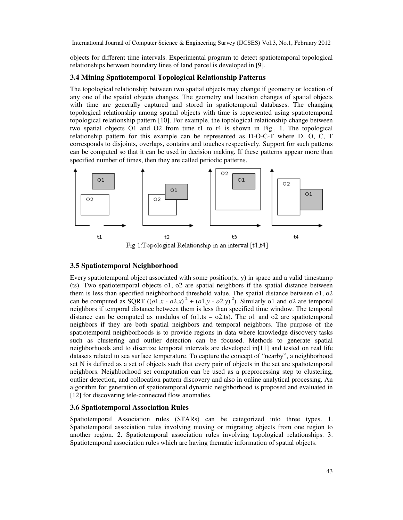objects for different time intervals. Experimental program to detect spatiotemporal topological relationships between boundary lines of land parcel is developed in [9].

#### **3.4 Mining Spatiotemporal Topological Relationship Patterns**

The topological relationship between two spatial objects may change if geometry or location of any one of the spatial objects changes. The geometry and location changes of spatial objects with time are generally captured and stored in spatiotemporal databases. The changing topological relationship among spatial objects with time is represented using spatiotemporal topological relationship pattern [10]. For example, the topological relationship change between two spatial objects O1 and O2 from time t1 to t4 is shown in Fig., 1. The topological relationship pattern for this example can be represented as D-O-C-T where D, O, C, T corresponds to disjoints, overlaps, contains and touches respectively. Support for such patterns can be computed so that it can be used in decision making. If these patterns appear more than specified number of times, then they are called periodic patterns.



Fig 1:Topological Relationship in an interval [t1,t4]

#### **3.5 Spatiotemporal Neighborhood**

Every spatiotemporal object associated with some position(x, y) in space and a valid timestamp (ts). Two spatiotemporal objects o1, o2 are spatial neighbors if the spatial distance between them is less than specified neighborhood threshold value. The spatial distance between o1, o2 can be computed as SQRT  $((o1.x - o2.x)^2 + (o1.y - o2.y)^2)$ . Similarly 01 and 02 are temporal neighbors if temporal distance between them is less than specified time window. The temporal distance can be computed as modulus of (o1.ts  $-$  o2.ts). The o1 and o2 are spatiotemporal neighbors if they are both spatial neighbors and temporal neighbors. The purpose of the spatiotemporal neighborhoods is to provide regions in data where knowledge discovery tasks such as clustering and outlier detection can be focused. Methods to generate spatial neighborhoods and to discrtize temporal intervals are developed in[11] and tested on real life datasets related to sea surface temperature. To capture the concept of "nearby", a neighborhood set N is defined as a set of objects such that every pair of objects in the set are spatiotemporal neighbors. Neighborhood set computation can be used as a preprocessing step to clustering, outlier detection, and collocation pattern discovery and also in online analytical processing. An algorithm for generation of spatiotemporal dynamic neighborhood is proposed and evaluated in [12] for discovering tele-connected flow anomalies.

#### **3.6 Spatiotemporal Association Rules**

Spatiotemporal Association rules (STARs) can be categorized into three types. 1. Spatiotemporal association rules involving moving or migrating objects from one region to another region. 2. Spatiotemporal association rules involving topological relationships. 3. Spatiotemporal association rules which are having thematic information of spatial objects.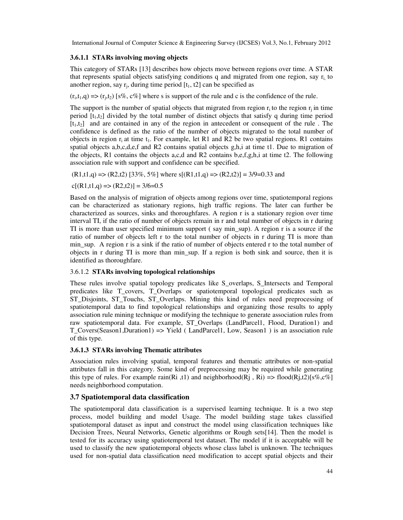#### **3.6.1.1 STARs involving moving objects**

This category of STARs [13] describes how objects move between regions over time. A STAR that represents spatial objects satisfying conditions q and migrated from one region, say  $r_i$  to another region, say  $r_j$ , during time period  $[t_1, t_2]$  can be specified as

 $(r_i, t_1, q) \Rightarrow (r_j, t_2)$  [s%, c%] where s is support of the rule and c is the confidence of the rule.

The support is the number of spatial objects that migrated from region  $r_i$  to the region  $r_i$  in time period  $[t_1,t_2]$  divided by the total number of distinct objects that satisfy q during time period  $[t_1,t_2]$  and are contained in any of the region in antecedent or consequent of the rule. The confidence is defined as the ratio of the number of objects migrated to the total number of objects in region  $r_i$  at time  $t_1$ . For example, let R1 and R2 be two spatial regions. R1 contains spatial objects a,b,c,d,e,f and R2 contains spatial objects g,h,i at time t1. Due to migration of the objects, R1 contains the objects a,c,d and R2 contains b,e,f,g,h,i at time t2. The following association rule with support and confidence can be specified.

 $(R1,t1,q)$  =>  $(R2,t2)$  [33%, 5%] where s[ $(R1,t1,q)$  =>  $(R2,t2)$ ] = 3/9=0.33 and

 $c[(R1,t1,q) \Rightarrow (R2,t2)] = 3/6=0.5$ 

Based on the analysis of migration of objects among regions over time, spatiotemporal regions can be characterized as stationary regions, high traffic regions. The later can further be characterized as sources, sinks and thoroughfares. A region r is a stationary region over time interval TI, if the ratio of number of objects remain in r and total number of objects in r during TI is more than user specified minimum support ( say min\_sup). A region r is a source if the ratio of number of objects left r to the total number of objects in r during TI is more than min sup. A region r is a sink if the ratio of number of objects entered r to the total number of objects in r during TI is more than min\_sup. If a region is both sink and source, then it is identified as thoroughfare.

#### 3.6.1.2 **STARs involving topological relationships**

These rules involve spatial topology predicates like S\_overlaps, S\_Intersects and Temporal predicates like T\_covers, T\_Overlaps or spatiotemporal topological predicates such as ST\_Disjoints, ST\_Touchs, ST\_Overlaps. Mining this kind of rules need preprocessing of spatiotemporal data to find topological relationships and organizing those results to apply association rule mining technique or modifying the technique to generate association rules from raw spatiotemporal data. For example, ST\_Overlaps (LandParcel1, Flood, Duration1) and T\_Covers(Season1,Duration1) => Yield ( LandParcel1, Low, Season1 ) is an association rule of this type.

## **3.6.1.3 STARs involving Thematic attributes**

Association rules involving spatial, temporal features and thematic attributes or non-spatial attributes fall in this category. Some kind of preprocessing may be required while generating this type of rules. For example rain(Ri ,t1) and neighborhood(Rj , Ri) => flood(Rj,t2)[s%,c%] needs neighborhood computation.

## **3.7 Spatiotemporal data classification**

The spatiotemporal data classification is a supervised learning technique. It is a two step process, model building and model Usage. The model building stage takes classified spatiotemporal dataset as input and construct the model using classification techniques like Decision Trees, Neural Networks, Genetic algorithms or Rough sets[14]. Then the model is tested for its accuracy using spatiotemporal test dataset. The model if it is acceptable will be used to classify the new spatiotemporal objects whose class label is unknown. The techniques used for non-spatial data classification need modification to accept spatial objects and their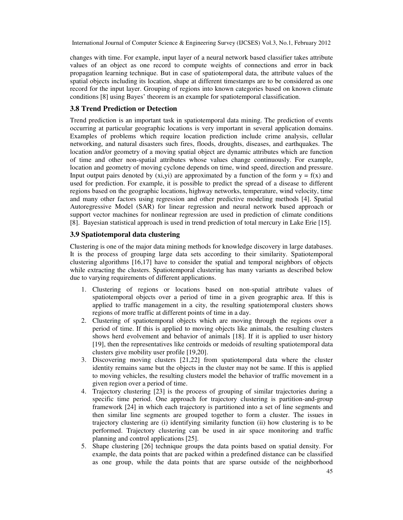changes with time. For example, input layer of a neural network based classifier takes attribute values of an object as one record to compute weights of connections and error in back propagation learning technique. But in case of spatiotemporal data, the attribute values of the spatial objects including its location, shape at different timestamps are to be considered as one record for the input layer. Grouping of regions into known categories based on known climate conditions [8] using Bayes' theorem is an example for spatiotemporal classification.

#### **3.8 Trend Prediction or Detection**

Trend prediction is an important task in spatiotemporal data mining. The prediction of events occurring at particular geographic locations is very important in several application domains. Examples of problems which require location prediction include crime analysis, cellular networking, and natural disasters such fires, floods, droughts, diseases, and earthquakes. The location and/or geometry of a moving spatial object are dynamic attributes which are function of time and other non-spatial attributes whose values change continuously. For example, location and geometry of moving cyclone depends on time, wind speed, direction and pressure. Input output pairs denoted by  $(xi,yi)$  are approximated by a function of the form  $y = f(x)$  and used for prediction. For example, it is possible to predict the spread of a disease to different regions based on the geographic locations, highway networks, temperature, wind velocity, time and many other factors using regression and other predictive modeling methods [4]. Spatial Autoregressive Model (SAR) for linear regression and neural network based approach or support vector machines for nonlinear regression are used in prediction of climate conditions [8]. Bayesian statistical approach is used in trend prediction of total mercury in Lake Erie [15].

#### **3.9 Spatiotemporal data clustering**

Clustering is one of the major data mining methods for knowledge discovery in large databases. It is the process of grouping large data sets according to their similarity. Spatiotemporal clustering algorithms [16,17] have to consider the spatial and temporal neighbors of objects while extracting the clusters. Spatiotemporal clustering has many variants as described below due to varying requirements of different applications.

- 1. Clustering of regions or locations based on non-spatial attribute values of spatiotemporal objects over a period of time in a given geographic area. If this is applied to traffic management in a city, the resulting spatiotemporal clusters shows regions of more traffic at different points of time in a day.
- 2. Clustering of spatiotemporal objects which are moving through the regions over a period of time. If this is applied to moving objects like animals, the resulting clusters shows herd evolvement and behavior of animals [18]. If it is applied to user history [19], then the representatives like centroids or medoids of resulting spatiotemporal data clusters give mobility user profile [19,20].
- 3. Discovering moving clusters [21,22] from spatiotemporal data where the cluster identity remains same but the objects in the cluster may not be same. If this is applied to moving vehicles, the resulting clusters model the behavior of traffic movement in a given region over a period of time.
- 4. Trajectory clustering [23] is the process of grouping of similar trajectories during a specific time period. One approach for trajectory clustering is partition-and-group framework [24] in which each trajectory is partitioned into a set of line segments and then similar line segments are grouped together to form a cluster. The issues in trajectory clustering are (i) identifying similarity function (ii) how clustering is to be performed. Trajectory clustering can be used in air space monitoring and traffic planning and control applications [25].
- 5. Shape clustering [26] technique groups the data points based on spatial density. For example, the data points that are packed within a predefined distance can be classified as one group, while the data points that are sparse outside of the neighborhood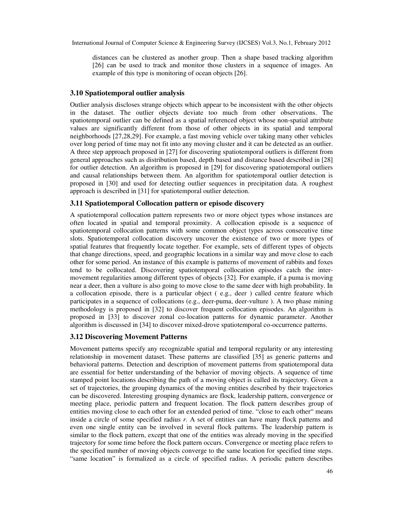distances can be clustered as another group. Then a shape based tracking algorithm [26] can be used to track and monitor those clusters in a sequence of images. An example of this type is monitoring of ocean objects [26].

#### **3.10 Spatiotemporal outlier analysis**

Outlier analysis discloses strange objects which appear to be inconsistent with the other objects in the dataset. The outlier objects deviate too much from other observations. The spatiotemporal outlier can be defined as a spatial referenced object whose non-spatial attribute values are significantly different from those of other objects in its spatial and temporal neighborhoods [27,28,29]. For example, a fast moving vehicle over taking many other vehicles over long period of time may not fit into any moving cluster and it can be detected as an outlier. A three step approach proposed in [27] for discovering spatiotemporal outliers is different from general approaches such as distribution based, depth based and distance based described in [28] for outlier detection. An algorithm is proposed in [29] for discovering spatiotemporal outliers and causal relationships between them. An algorithm for spatiotemporal outlier detection is proposed in [30] and used for detecting outlier sequences in precipitation data. A roughest approach is described in [31] for spatiotemporal outlier detection.

#### **3.11 Spatiotemporal Collocation pattern or episode discovery**

A spatiotemporal collocation pattern represents two or more object types whose instances are often located in spatial and temporal proximity. A collocation episode is a sequence of spatiotemporal collocation patterns with some common object types across consecutive time slots. Spatiotemporal collocation discovery uncover the existence of two or more types of spatial features that frequently locate together. For example, sets of different types of objects that change directions, speed, and geographic locations in a similar way and move close to each other for some period. An instance of this example is patterns of movement of rabbits and foxes tend to be collocated. Discovering spatiotemporal collocation episodes catch the intermovement regularities among different types of objects [32]. For example, if a puma is moving near a deer, then a vulture is also going to move close to the same deer with high probability. In a collocation episode, there is a particular object ( e.g., deer ) called centre feature which participates in a sequence of collocations (e.g., deer-puma, deer-vulture ). A two phase mining methodology is proposed in [32] to discover frequent collocation episodes. An algorithm is proposed in [33] to discover zonal co-location patterns for dynamic parameter. Another algorithm is discussed in [34] to discover mixed-drove spatiotemporal co-occurrence patterns.

#### **3.12 Discovering Movement Patterns**

Movement patterns specify any recognizable spatial and temporal regularity or any interesting relationship in movement dataset. These patterns are classified [35] as generic patterns and behavioral patterns. Detection and description of movement patterns from spatiotemporal data are essential for better understanding of the behavior of moving objects. A sequence of time stamped point locations describing the path of a moving object is called its trajectory. Given a set of trajectories, the grouping dynamics of the moving entities described by their trajectories can be discovered. Interesting grouping dynamics are flock, leadership pattern, convergence or meeting place, periodic pattern and frequent location. The flock pattern describes group of entities moving close to each other for an extended period of time. "close to each other" means inside a circle of some specified radius *r*. A set of entities can have many flock patterns and even one single entity can be involved in several flock patterns. The leadership pattern is similar to the flock pattern, except that one of the entities was already moving in the specified trajectory for some time before the flock pattern occurs. Convergence or meeting place refers to the specified number of moving objects converge to the same location for specified time steps. "same location" is formalized as a circle of specified radius. A periodic pattern describes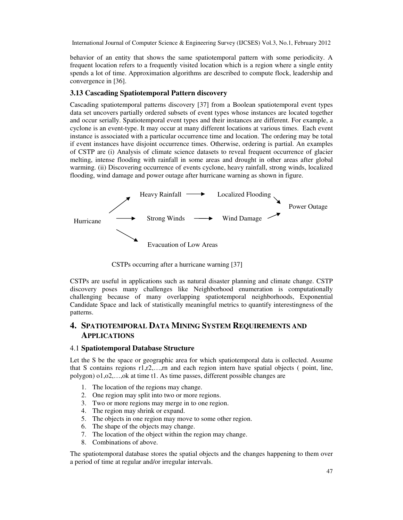behavior of an entity that shows the same spatiotemporal pattern with some periodicity. A frequent location refers to a frequently visited location which is a region where a single entity spends a lot of time. Approximation algorithms are described to compute flock, leadership and convergence in [36].

## **3.13 Cascading Spatiotemporal Pattern discovery**

Cascading spatiotemporal patterns discovery [37] from a Boolean spatiotemporal event types data set uncovers partially ordered subsets of event types whose instances are located together and occur serially. Spatiotemporal event types and their instances are different. For example, a cyclone is an event-type. It may occur at many different locations at various times. Each event instance is associated with a particular occurrence time and location. The ordering may be total if event instances have disjoint occurrence times. Otherwise, ordering is partial. An examples of CSTP are (i) Analysis of climate science datasets to reveal frequent occurrence of glacier melting, intense flooding with rainfall in some areas and drought in other areas after global warming. (ii) Discovering occurrence of events cyclone, heavy rainfall, strong winds, localized flooding, wind damage and power outage after hurricane warning as shown in figure.



CSTPs occurring after a hurricane warning [37]

CSTPs are useful in applications such as natural disaster planning and climate change. CSTP discovery poses many challenges like Neighborhood enumeration is computationally challenging because of many overlapping spatiotemporal neighborhoods, Exponential Candidate Space and lack of statistically meaningful metrics to quantify interestingness of the patterns.

## **4. SPATIOTEMPORAL DATA MINING SYSTEM REQUIREMENTS AND APPLICATIONS**

#### 4.1 **Spatiotemporal Database Structure**

Let the S be the space or geographic area for which spatiotemporal data is collected. Assume that S contains regions  $r1,r2,...,rn$  and each region intern have spatial objects ( point, line, polygon) o1,o2,…,ok at time t1. As time passes, different possible changes are

- 1. The location of the regions may change.
- 2. One region may split into two or more regions.
- 3. Two or more regions may merge in to one region.
- 4. The region may shrink or expand.
- 5. The objects in one region may move to some other region.
- 6. The shape of the objects may change.
- 7. The location of the object within the region may change.
- 8. Combinations of above.

The spatiotemporal database stores the spatial objects and the changes happening to them over a period of time at regular and/or irregular intervals.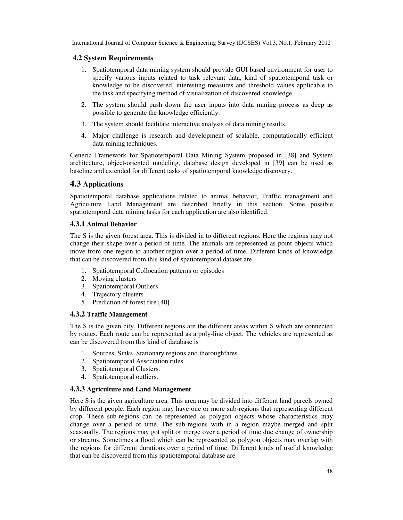#### **4.2 System Requirements**

- 1. Spatiotemporal data mining system should provide GUI based environment for user to specify various inputs related to task relevant data, kind of spatiotemporal task or knowledge to be discovered, interesting measures and threshold values applicable to the task and specifying method of visualization of discovered knowledge.
- 2. The system should push down the user inputs into data mining process as deep as possible to generate the knowledge efficiently.
- 3. The system should facilitate interactive analysis of data mining results.
- 4. Major challenge is research and development of scalable, computationally efficient data mining techniques.

Generic Framework for Spatiotemporal Data Mining System proposed in [38] and System architecture, object-oriented modeling, database design developed in [39] can be used as baseline and extended for different tasks of spatiotemporal knowledge discovery.

## **4.3 Applications**

Spatiotemporal database applications related to animal behavior, Traffic management and Agriculture Land Management are described briefly in this section. Some possible spatiotemporal data mining tasks for each application are also identified.

#### **4.3.1 Animal Behavior**

The S is the given forest area. This is divided in to different regions. Here the regions may not change their shape over a period of time. The animals are represented as point objects which move from one region to another region over a period of time. Different kinds of knowledge that can be discovered from this kind of spatiotemporal dataset are

- 1. Spatiotemporal Collocation patterns or episodes
- 2. Moving clusters
- 3. Spatiotemporal Outliers
- 4. Trajectory clusters
- 5. Prediction of forest fire [40]

#### **4.3.2 Traffic Management**

The S is the given city. Different regions are the different areas within S which are connected by routes. Each route can be represented as a poly-line object. The vehicles are represented as can be discovered from this kind of database is

- 1. Sources, Sinks, Stationary regions and thoroughfares.
- 2. Spatiotemporal Association rules.
- 3. Spatiotemporal Clusters.
- 4. Spatiotemporal outliers.

#### **4.3.3 Agriculture and Land Management**

Here S is the given agriculture area. This area may be divided into different land parcels owned by different people. Each region may have one or more sub-regions that representing different crop. These sub-regions can be represented as polygon objects whose characteristics may change over a period of time. The sub-regions with in a region maybe merged and split seasonally. The regions may got split or merge over a period of time due change of ownership or streams. Sometimes a flood which can be represented as polygon objects may overlap with the regions for different durations over a period of time. Different kinds of useful knowledge that can be discovered from this spatiotemporal database are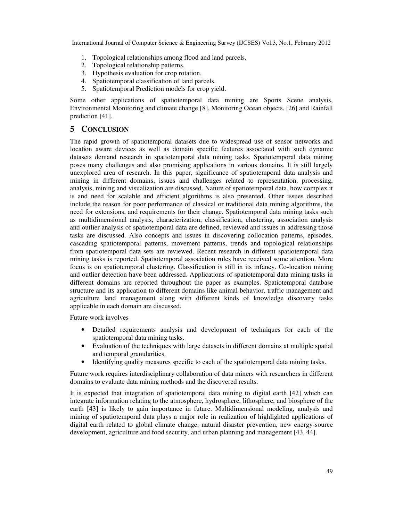- 1. Topological relationships among flood and land parcels.
- 2. Topological relationship patterns.
- 3. Hypothesis evaluation for crop rotation.
- 4. Spatiotemporal classification of land parcels.
- 5. Spatiotemporal Prediction models for crop yield.

Some other applications of spatiotemporal data mining are Sports Scene analysis, Environmental Monitoring and climate change [8], Monitoring Ocean objects. [26] and Rainfall prediction [41].

## **5 CONCLUSION**

The rapid growth of spatiotemporal datasets due to widespread use of sensor networks and location aware devices as well as domain specific features associated with such dynamic datasets demand research in spatiotemporal data mining tasks. Spatiotemporal data mining poses many challenges and also promising applications in various domains. It is still largely unexplored area of research. In this paper, significance of spatiotemporal data analysis and mining in different domains, issues and challenges related to representation, processing, analysis, mining and visualization are discussed. Nature of spatiotemporal data, how complex it is and need for scalable and efficient algorithms is also presented. Other issues described include the reason for poor performance of classical or traditional data mining algorithms, the need for extensions, and requirements for their change. Spatiotemporal data mining tasks such as multidimensional analysis, characterization, classification, clustering, association analysis and outlier analysis of spatiotemporal data are defined, reviewed and issues in addressing those tasks are discussed. Also concepts and issues in discovering collocation patterns, episodes, cascading spatiotemporal patterns, movement patterns, trends and topological relationships from spatiotemporal data sets are reviewed. Recent research in different spatiotemporal data mining tasks is reported. Spatiotemporal association rules have received some attention. More focus is on spatiotemporal clustering. Classification is still in its infancy. Co-location mining and outlier detection have been addressed. Applications of spatiotemporal data mining tasks in different domains are reported throughout the paper as examples. Spatiotemporal database structure and its application to different domains like animal behavior, traffic management and agriculture land management along with different kinds of knowledge discovery tasks applicable in each domain are discussed.

Future work involves

- Detailed requirements analysis and development of techniques for each of the spatiotemporal data mining tasks.
- Evaluation of the techniques with large datasets in different domains at multiple spatial and temporal granularities.
- Identifying quality measures specific to each of the spatiotemporal data mining tasks.

Future work requires interdisciplinary collaboration of data miners with researchers in different domains to evaluate data mining methods and the discovered results.

It is expected that integration of spatiotemporal data mining to digital earth [42] which can integrate information relating to the atmosphere, hydrosphere, lithosphere, and biosphere of the earth [43] is likely to gain importance in future. Multidimensional modeling, analysis and mining of spatiotemporal data plays a major role in realization of highlighted applications of digital earth related to global climate change, natural disaster prevention, new energy-source development, agriculture and food security, and urban planning and management [43, 44].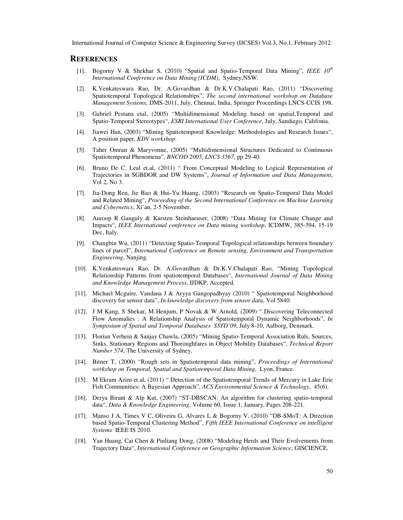#### **REFERENCES**

- [1]. Bogorny V & Shekhar S, (2010) "Spatial and Spatio-Temporal Data Mining", *IEEE 10th International Conference on Data Mining (ICDM)*, Sydney,NSW.
- [2]. K.Venkateswara Rao, Dr. A.Govardhan & Dr.K.V.Chalapati Rao, (2011) "Discovering Spatiotemporal Topological Relationships", *The second international workshop on Database Management Systems*, DMS-2011, July, Chennai, India, Springer Proceedings LNCS-CCIS 198.
- [3]. Gabriel Pestana etal, (2005) "Multidimensional Modeling based on spatial,Temporal and Spatio-Temporal Stereotypes", *ESRI International User Conference*, July, Sandiego, Califonia.
- [4]. Jiawei Han, (2003) "Mining Spatiotemporal Knowledge: Methodologies and Research Issues", A position paper, *KDV workshop*.
- [5]. Taher Omran & Maryvonne, (2005) "Multidimensional Structures Dedicated to Continuous Spatiotemporal Phenomena", *BNCOD 2005, LNCS 3567*, pp 29-40.
- [6]. Bruno De C. Leal et.al, (2011) " From Conceptual Modeling to Logical Representation of Trajectories in SGBDOR and DW Systems", *Journal of Information and Data Management*, Vol 2, No 3.
- [7]. Jia-Dong Ren, Jie Bao & Hui-Yu Huang, (2003) "Research on Spatio-Temporal Data Model and Related Mining", *Proceeding of the Second International Conference on Machine Learning and Cybernetics*, Xi'an, 2-5 November.
- [8]. Auroop R Ganguly & Karsten Steinhaeuser, (2008) "Data Mining for Climate Change and Impacts", *IEEE International conference on Data mining workshop*, ICDMW, 385-394, 15-19 Dec, Italy.
- [9]. Changbin Wu, (2011) "Detecting Spatio-Temporal Topological relationships between boundary lines of parcel", *International Conference on Remote sensing, Environment and Transportation Engineering*, Nanjing.
- [10]. K.Venkateswara Rao, Dr. A.Govardhan & Dr.K.V.Chalapati Rao, "Mining Topological Relationship Patterns from spatiotemporal Databases", *International Journal of Data Mining and Knowledge Management Process*, IJDKP, Accepted.
- [11]. Michael Mcguire, Vandana J & Aryya Gangopadhyay (2010) " Spatiotemporal Neighborhood discovery for sensor data", *In knowledge discovery from sensor data*, Vol 5840.
- [12]. J M Kang, S Shekar, M Henjum, P Novak & W Arnold, (2009) " Discovering Teleconnected Flow Anomalies : A Relationship Analysis of Spatiotemporal Dynamic Neighborhoods", *In Symposium of Spatial and Temporal Databases SSTD'09*, July 8-10, Aalborg, Denmark.
- [13]. Florian Verhein & Sanjay Chawla, (2005) "Mining Spatio-Temporal Association Ruls, Sources, Sinks, Stationary Regions and Thoroughfares in Object Mobility Databases", *Technical Report Number 574*, The University of Sydney.
- [14]. Bitner T, (2000) "Rough sets in Spatiotemporal data mining", *Proceedings of International workshop on Temporal, Spatial and Spatiotemporal Data Mining*, Lyon, France.
- [15]. M Ekram Azim et.al, (2011) " Detection of the Spatiotemporal Trends of Mercury in Lake Erie Fish Communities: A Bayesian Approach", *ACS Environmental Science & Technology*, 45(6).
- [16]. Derya Birant & Alp Kut, (2007) "ST-DBSCAN: An algorithm for clustering spatio-temporal data", *Data & Knowledge Engineering*, Volume 60, Issue 1, January, Pages 208-221.
- [17]. Manso J A, Times V C, Oliveira G, Alvares L & Bogorny V, (2010) "DB-SMoT: A Direction based Spatio-Temporal Clustering Method", *Fifth IEEE International Conference on intelligent Systems* IEEE IS 2010.
- [18]. Yan Huang, Cai Chen & Pinliang Dong, (2008) "Modeling Herds and Their Evolvements from Trajectory Data", *International Conference on Geographic Information Science*, GISCIENCE.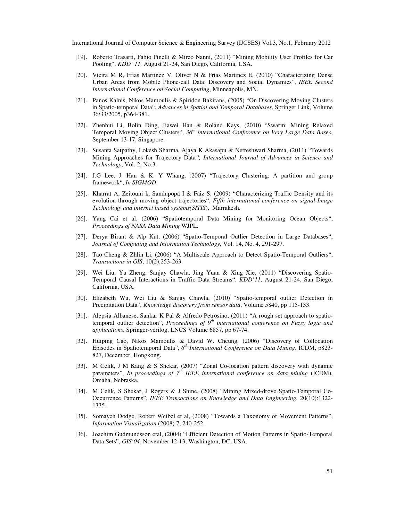- [19]. Roberto Trasarti, Fabio Pinelli & Mirco Nanni, (2011) "Mining Mobility User Profiles for Car Pooling", *KDD' 11,* August 21-24, San Diego, California, USA.
- [20]. Vieira M R, Frias Martinez V, Oliver N & Frias Martinez E, (2010) "Characterizing Dense Urban Areas from Mobile Phone-call Data: Discovery and Social Dynamics", *IEEE Second International Conference on Social Computing*, Minneapolis, MN.
- [21]. Panos Kalnis, Nikos Mamoulis & Spiridon Bakirans, (2005) "On Discovering Moving Clusters in Spatio-temporal Data", *Advances in Spatial and Temporal Databases*, Springer Link, Volume 36/33/2005, p364-381.
- [22]. Zhenhui Li, Bolin Ding, Jiawei Han & Roland Kays, (2010) "Swarm: Mining Relaxed Temporal Moving Object Clusters", *36th international Conference on Very Large Data Bases*, September 13-17, Singapore.
- [23]. Susanta Satpathy, Lokesh Sharma, Ajaya K Akasapu & Netreshwari Sharma, (2011) "Towards Mining Approaches for Trajectory Data*", International Journal of Advances in Science and Technology*, Vol. 2, No.3.
- [24]. J.G Lee, J. Han & K. Y Whang, (2007) "Trajectory Clustering: A partition and group framework", *In SIGMOD*.
- [25]. Kharrat A, Zeitouni k, Sandupopa I & Faiz S, (2009) "Characterizing Traffic Density and its evolution through moving object trajectories", *Fifth international conference on signal-Image Technology and internet based systems(SITIS*), Marrakesh.
- [26]. Yang Cai et al, (2006) "Spatiotemporal Data Mining for Monitoring Ocean Objects", *Proceedings of NASA Data Mining* WJPL.
- [27]. Derya Birant & Alp Kut, (2006) "Spatio-Temporal Outlier Detection in Large Databases", *Journal of Computing and Information Technology*, Vol. 14, No. 4, 291-297.
- [28]. Tao Cheng & Zhlin Li, (2006) "A Multiscale Approach to Detect Spatio-Temporal Outliers", *Transactions in GIS*, 10(2),253-263.
- [29]. Wei Liu, Yu Zheng, Sanjay Chawla, Jing Yuan & Xing Xie, (2011) "Discovering Spatio-Temporal Causal Interactions in Traffic Data Streams", *KDD'11*, August 21-24, San Diego, California, USA.
- [30]. Elizabeth Wu, Wei Liu & Sanjay Chawla, (2010) "Spatio-temporal outlier Detection in Precipitation Data", *Knowledge discovery from sensor data*, Volume 5840, pp 115-133.
- [31]. Alepsia Albanese, Sankar K Pal & Alfredo Petrosino, (2011) "A rough set approach to spatiotemporal outlier detection", *Proceedings of 9th international conference on Fuzzy logic and applications*, Springer-verilog, LNCS Volume 6857, pp 67-74.
- [32]. Huiping Cao, Nikos Mamoulis & David W. Cheung, (2006) "Discovery of Collocation Episodes in Spatiotemporal Data", 6<sup>th</sup> International Conference on Data Mining, ICDM, p823-827, December, Hongkong.
- [33]. M Celik, J M Kang & S Shekar, (2007) "Zonal Co-location pattern discovery with dynamic parameters", *In proceedings of 7th IEEE international conference on data mining* (ICDM), Omaha, Nebraska.
- [34]. M Celik, S Shekar, J Rogers & J Shine, (2008) "Mining Mixed-drove Spatio-Temporal Co-Occurrence Patterns", *IEEE Transactions on Knowledge and Data Engineering*, 20(10):1322- 1335.
- [35]. Somayeh Dodge, Robert Weibel et al, (2008) "Towards a Taxonomy of Movement Patterns", *Information Visualization* (2008) 7, 240-252.
- [36]. Joachim Gudmundsson etal, (2004) "Efficient Detection of Motion Patterns in Spatio-Temporal Data Sets", *GIS'04*, November 12-13, Washington, DC, USA.